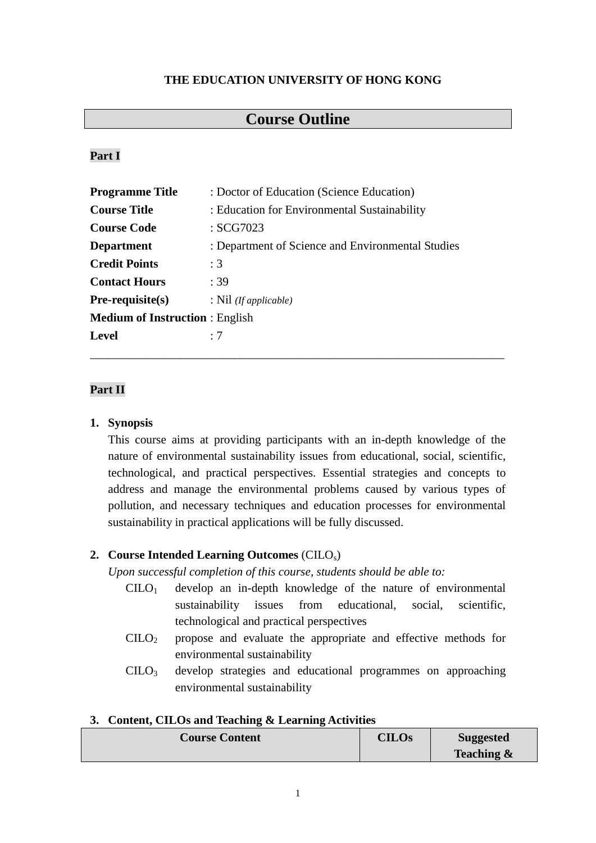## **THE EDUCATION UNIVERSITY OF HONG KONG**

# **Course Outline**

## **Part I**

| : Doctor of Education (Science Education)         |
|---------------------------------------------------|
| : Education for Environmental Sustainability      |
| :SCG7023                                          |
| : Department of Science and Environmental Studies |
| :3                                                |
| :39                                               |
| : Nil $(If applicable)$                           |
| <b>Medium of Instruction:</b> English             |
| $\cdot$ 7                                         |
|                                                   |

## **Part II**

### **1. Synopsis**

This course aims at providing participants with an in-depth knowledge of the nature of environmental sustainability issues from educational, social, scientific, technological, and practical perspectives. Essential strategies and concepts to address and manage the environmental problems caused by various types of pollution, and necessary techniques and education processes for environmental sustainability in practical applications will be fully discussed.

\_\_\_\_\_\_\_\_\_\_\_\_\_\_\_\_\_\_\_\_\_\_\_\_\_\_\_\_\_\_\_\_\_\_\_\_\_\_\_\_\_\_\_\_\_\_\_\_\_\_\_\_\_\_\_\_\_\_\_\_\_\_\_\_\_\_\_\_\_

### **2. Course Intended Learning Outcomes** (CILOs)

*Upon successful completion of this course, students should be able to:*

- $CHO<sub>1</sub>$  develop an in-depth knowledge of the nature of environmental sustainability issues from educational, social, scientific, technological and practical perspectives
- $C I L O<sub>2</sub>$  propose and evaluate the appropriate and effective methods for environmental sustainability
- CILO<sup>3</sup> develop strategies and educational programmes on approaching environmental sustainability

#### **3. Content, CILOs and Teaching & Learning Activities**

| <b>Course Content</b> | <b>CILOs</b> | <b>Suggested</b>      |
|-----------------------|--------------|-----------------------|
|                       |              | <b>Teaching &amp;</b> |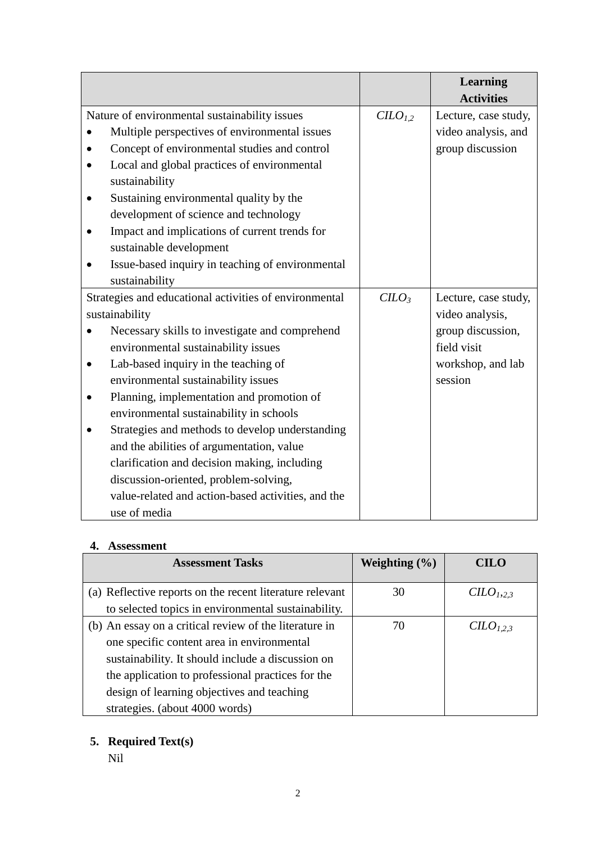|                                               |                                                        |             | Learning             |
|-----------------------------------------------|--------------------------------------------------------|-------------|----------------------|
|                                               |                                                        |             | <b>Activities</b>    |
| Nature of environmental sustainability issues |                                                        | $CLO_{1,2}$ | Lecture, case study, |
|                                               | Multiple perspectives of environmental issues          |             | video analysis, and  |
|                                               | Concept of environmental studies and control           |             | group discussion     |
|                                               | Local and global practices of environmental            |             |                      |
|                                               | sustainability                                         |             |                      |
|                                               | Sustaining environmental quality by the                |             |                      |
|                                               | development of science and technology                  |             |                      |
|                                               | Impact and implications of current trends for          |             |                      |
|                                               | sustainable development                                |             |                      |
|                                               | Issue-based inquiry in teaching of environmental       |             |                      |
|                                               | sustainability                                         |             |                      |
|                                               | Strategies and educational activities of environmental | $C$         | Lecture, case study, |
|                                               | sustainability                                         |             | video analysis,      |
|                                               | Necessary skills to investigate and comprehend         |             | group discussion,    |
|                                               | environmental sustainability issues                    |             | field visit          |
|                                               | Lab-based inquiry in the teaching of                   |             | workshop, and lab    |
|                                               | environmental sustainability issues                    |             | session              |
|                                               | Planning, implementation and promotion of              |             |                      |
|                                               | environmental sustainability in schools                |             |                      |
|                                               | Strategies and methods to develop understanding        |             |                      |
|                                               | and the abilities of argumentation, value              |             |                      |
|                                               | clarification and decision making, including           |             |                      |
|                                               | discussion-oriented, problem-solving,                  |             |                      |
|                                               | value-related and action-based activities, and the     |             |                      |
|                                               | use of media                                           |             |                      |

## **4. Assessment**

| <b>Assessment Tasks</b>                                  | Weighting $(\% )$ | <b>CILO</b>                       |
|----------------------------------------------------------|-------------------|-----------------------------------|
| (a) Reflective reports on the recent literature relevant | 30                | C <sub>L</sub> O <sub>1,2,3</sub> |
| to selected topics in environmental sustainability.      |                   |                                   |
| (b) An essay on a critical review of the literature in   | 70                | $CLO_{1,2,3}$                     |
| one specific content area in environmental               |                   |                                   |
| sustainability. It should include a discussion on        |                   |                                   |
| the application to professional practices for the        |                   |                                   |
| design of learning objectives and teaching               |                   |                                   |
| strategies. (about 4000 words)                           |                   |                                   |

**5. Required Text(s)**

Nil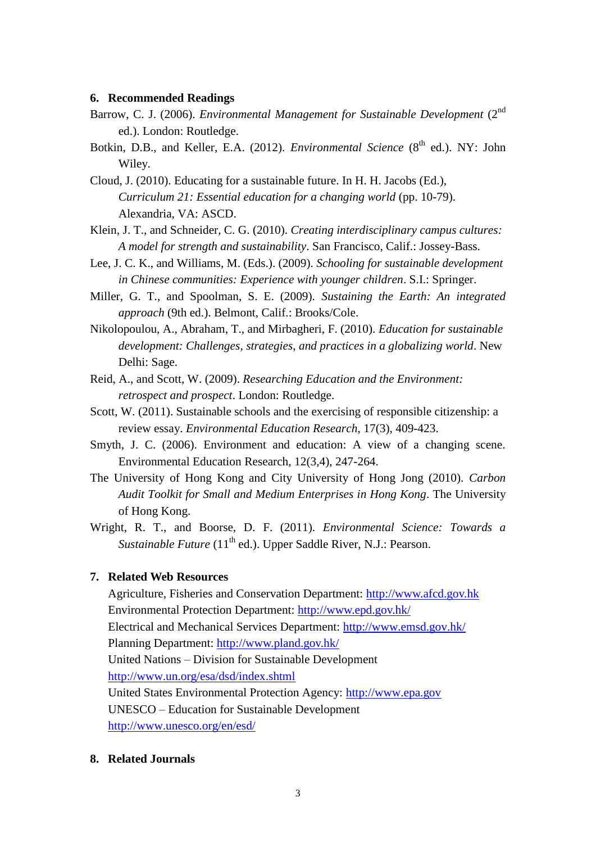#### **6. Recommended Readings**

- Barrow, C. J. (2006). *Environmental Management for Sustainable Development* (2<sup>nd</sup> ed.). London: Routledge.
- Botkin, D.B., and Keller, E.A. (2012). *Environmental Science* (8<sup>th</sup> ed.). NY: John Wiley.
- Cloud, J. (2010). Educating for a sustainable future. In H. H. Jacobs (Ed.), *Curriculum 21: Essential education for a changing world* (pp. 10-79). Alexandria, VA: ASCD.
- Klein, J. T., and Schneider, C. G. (2010). *Creating interdisciplinary campus cultures: A model for strength and sustainability*. San Francisco, Calif.: Jossey-Bass.
- Lee, J. C. K., and Williams, M. (Eds.). (2009). *Schooling for sustainable development in Chinese communities: Experience with younger children*. S.I.: Springer.
- Miller, G. T., and Spoolman, S. E. (2009). *Sustaining the Earth: An integrated approach* (9th ed.). Belmont, Calif.: Brooks/Cole.
- Nikolopoulou, A., Abraham, T., and Mirbagheri, F. (2010). *Education for sustainable development: Challenges, strategies, and practices in a globalizing world*. New Delhi: Sage.
- [Reid, A., a](http://www.bath.ac.uk/view/person_id/704.html)nd [Scott, W. \(](http://www.bath.ac.uk/view/person_id/93.html)2009). *[Researching Education and the Environment:](http://opus.bath.ac.uk/10354/)  [retrospect and prospect](http://opus.bath.ac.uk/10354/)*. London: Routledge.
- [Scott, W.](http://www.bath.ac.uk/view/person_id/93.html) (2011). [Sustainable schools and the exercising of responsible citizenship: a](http://opus.bath.ac.uk/21252/)  [review essay.](http://opus.bath.ac.uk/21252/) *Environmental Education Research*, 17(3), 409-423.
- Smyth, J. C. (2006). Environment and education: A view of a changing scene. Environmental Education Research, 12(3,4), 247-264.
- The University of Hong Kong and City University of Hong Jong (2010). *Carbon Audit Toolkit for Small and Medium Enterprises in Hong Kong*. The University of Hong Kong.
- Wright, R. T., and Boorse, D. F. (2011). *Environmental Science: Towards a Sustainable Future* (11<sup>th</sup> ed.). Upper Saddle River, N.J.: Pearson.

### **7. Related Web Resources**

Agriculture, Fisheries and Conservation Department: [http://www.afcd.gov.hk](http://www.afcd.gov.hk/) Environmental Protection Department:<http://www.epd.gov.hk/> Electrical and Mechanical Services Department:<http://www.emsd.gov.hk/> Planning Department:<http://www.pland.gov.hk/> United Nations – Division for Sustainable Development <http://www.un.org/esa/dsd/index.shtml> United States Environmental Protection Agency: [http://www.epa.gov](http://www.epa.gov/) UNESCO – Education for Sustainable Development <http://www.unesco.org/en/esd/>

#### **8. Related Journals**